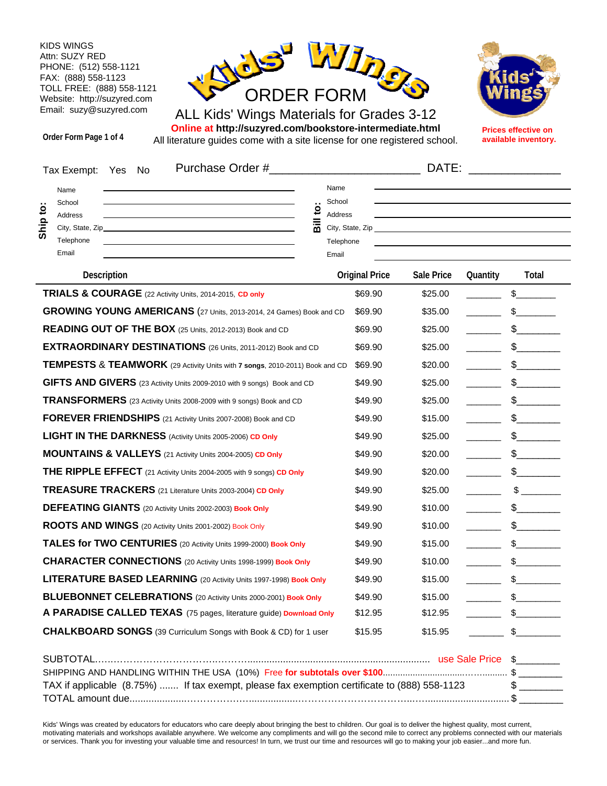KIDS WINGS Attn: SUZY RED PHONE: (512) 558-1121 FAX: (888) 558-1123 TOLL FREE: (888) 558-1121 Website: http://suzyred.com Email: suzy@suzyred.com



ALL Kids' Wings Materials for Grades 3-12 **Online at http://suzyred.com/bookstore-intermediate.html** All literature guides come with a site license for one registered school.

**Order Form Page 1 of 4**



**Prices effective on available inventory.**

| Purchase Order #<br>Tax Exempt:<br>Yes<br>No                                                 |                                                  |                                                                     |                       |            |          |                               |
|----------------------------------------------------------------------------------------------|--------------------------------------------------|---------------------------------------------------------------------|-----------------------|------------|----------|-------------------------------|
| Name<br>School<br>ë<br>Address<br><u>مز</u><br>City, State, Zip_<br>Telephone<br>Email       | $\ddot{5}$<br>$\overline{\overline{\mathbf{a}}}$ | Name<br>School<br>Address<br>City, State, Zip<br>Telephone<br>Email |                       |            |          |                               |
| <b>Description</b>                                                                           |                                                  |                                                                     | <b>Original Price</b> | Sale Price | Quantity | Total                         |
| TRIALS & COURAGE (22 Activity Units, 2014-2015, CD only                                      |                                                  |                                                                     | \$69.90               | \$25.00    |          | \$                            |
| GROWING YOUNG AMERICANS (27 Units, 2013-2014, 24 Games) Book and CD                          |                                                  |                                                                     | \$69.90               | \$35.00    |          | $\frac{1}{2}$                 |
| READING OUT OF THE BOX (25 Units, 2012-2013) Book and CD                                     |                                                  |                                                                     | \$69.90               | \$25.00    |          | $\mathsf{\$}$                 |
| EXTRAORDINARY DESTINATIONS (26 Units, 2011-2012) Book and CD                                 |                                                  |                                                                     | \$69.90               | \$25.00    |          | \$                            |
| <b>TEMPESTS &amp; TEAMWORK</b> (29 Activity Units with 7 songs, 2010-2011) Book and CD       |                                                  |                                                                     | \$69.90               | \$20.00    |          | \$                            |
| GIFTS AND GIVERS (23 Activity Units 2009-2010 with 9 songs) Book and CD                      |                                                  |                                                                     | \$49.90               | \$25.00    |          | \$                            |
| TRANSFORMERS (23 Activity Units 2008-2009 with 9 songs) Book and CD                          |                                                  |                                                                     | \$49.90               | \$25.00    |          | $\frac{1}{2}$                 |
| FOREVER FRIENDSHIPS (21 Activity Units 2007-2008) Book and CD                                |                                                  |                                                                     | \$49.90               | \$15.00    |          | \$                            |
| <b>LIGHT IN THE DARKNESS</b> (Activity Units 2005-2006) CD Only                              |                                                  |                                                                     | \$49.90               | \$25.00    |          | s                             |
| <b>MOUNTAINS &amp; VALLEYS</b> (21 Activity Units 2004-2005) CD Only                         |                                                  |                                                                     | \$49.90               | \$20.00    |          | \$                            |
| THE RIPPLE EFFECT (21 Activity Units 2004-2005 with 9 songs) CD Only                         |                                                  |                                                                     | \$49.90               | \$20.00    |          | \$                            |
| <b>TREASURE TRACKERS</b> (21 Literature Units 2003-2004) CD Only                             |                                                  |                                                                     | \$49.90               | \$25.00    |          | $\mathbb{S}$ and $\mathbb{S}$ |
| <b>DEFEATING GIANTS</b> (20 Activity Units 2002-2003) Book Only                              |                                                  |                                                                     | \$49.90               | \$10.00    |          | $\sim$                        |
| ROOTS AND WINGS (20 Activity Units 2001-2002) Book Only                                      |                                                  |                                                                     | \$49.90               | \$10.00    |          | \$                            |
| TALES for TWO CENTURIES (20 Activity Units 1999-2000) Book Only                              |                                                  |                                                                     | \$49.90               | \$15.00    |          | $\frac{1}{2}$                 |
| <b>CHARACTER CONNECTIONS</b> (20 Activity Units 1998-1999) Book Only                         |                                                  |                                                                     | \$49.90               | \$10.00    |          | $\frac{1}{2}$                 |
| <b>LITERATURE BASED LEARNING</b> (20 Activity Units 1997-1998) Book Only                     |                                                  |                                                                     | \$49.90               | \$15.00    |          | \$                            |
| BLUEBONNET CELEBRATIONS (20 Activity Units 2000-2001) Book Only                              |                                                  |                                                                     | \$49.90               | \$15.00    |          | \$                            |
| A PARADISE CALLED TEXAS (75 pages, literature guide) Download Only                           |                                                  |                                                                     | \$12.95               | \$12.95    |          | $\frac{1}{2}$                 |
| <b>CHALKBOARD SONGS</b> (39 Curriculum Songs with Book & CD) for 1 user                      |                                                  |                                                                     | \$15.95               | \$15.95    |          | $\frac{1}{2}$                 |
|                                                                                              |                                                  |                                                                     |                       |            |          |                               |
|                                                                                              |                                                  |                                                                     |                       |            |          |                               |
| TAX if applicable (8.75%)  If tax exempt, please fax exemption certificate to (888) 558-1123 |                                                  |                                                                     |                       |            |          | $\frac{1}{2}$                 |

Kids' Wings was created by educators for educators who care deeply about bringing the best to children. Our goal is to deliver the highest quality, most current, motivating materials and workshops available anywhere. We welcome any compliments and will go the second mile to correct any problems connected with our materials or services. Thank you for investing your valuable time and resources! In turn, we trust our time and resources will go to making your job easier...and more fun.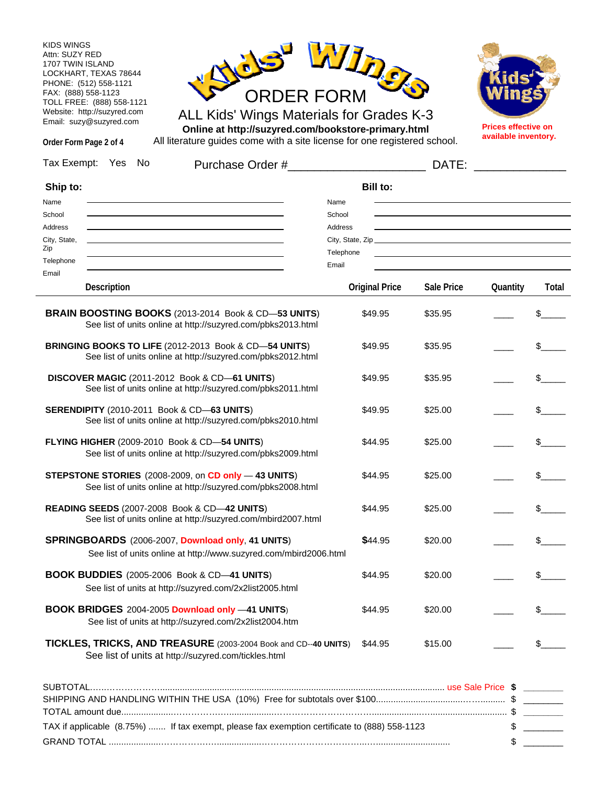KIDS WINGS Attn: SUZY RED 1707 TWIN ISLAND LOCKHART, TEXAS 78644 PHONE: (512) 558-1121 FAX: (888) 558-1123 TOLL FREE: (888) 558-1121 Website: http://suzyred.com Email: suzy@suzyred.com



ALL Kids' Wings Materials for Grades K-3 **Online at http://suzyred.com/bookstore-primary.html**



**Prices effective on available inventory.**

| Order Form Page 2 of 4 |  | Online at http://suzyred.com/pookstore-primary.html<br>All literature guides come with a site license for one registered school. |       | .<br>available inventory. |
|------------------------|--|----------------------------------------------------------------------------------------------------------------------------------|-------|---------------------------|
| Tax Exempt: Yes No     |  | Purchase Order #                                                                                                                 | DATE: |                           |

| Ship to:                                                                                                                        | <b>Bill to:</b>       |            |          |                |
|---------------------------------------------------------------------------------------------------------------------------------|-----------------------|------------|----------|----------------|
| Name                                                                                                                            | Name                  |            |          |                |
| School                                                                                                                          | School                |            |          |                |
| Address<br>City, State,                                                                                                         | Address               |            |          |                |
| Zip                                                                                                                             | Telephone             |            |          |                |
| Telephone                                                                                                                       | Email                 |            |          |                |
| Email<br>Description                                                                                                            | <b>Original Price</b> | Sale Price | Quantity | Total          |
|                                                                                                                                 |                       |            |          |                |
| BRAIN BOOSTING BOOKS (2013-2014 Book & CD-53 UNITS)<br>See list of units online at http://suzyred.com/pbks2013.html             | \$49.95               | \$35.95    |          |                |
| BRINGING BOOKS TO LIFE (2012-2013 Book & CD-54 UNITS)<br>See list of units online at http://suzyred.com/pbks2012.html           | \$49.95               | \$35.95    |          |                |
| DISCOVER MAGIC (2011-2012 Book & CD-61 UNITS)<br>See list of units online at http://suzyred.com/pbks2011.html                   | \$49.95               | \$35.95    |          |                |
| <b>SERENDIPITY</b> (2010-2011 Book & CD-63 UNITS)<br>See list of units online at http://suzyred.com/pbks2010.html               | \$49.95               | \$25.00    |          | \$             |
| FLYING HIGHER (2009-2010 Book & CD-54 UNITS)<br>See list of units online at http://suzyred.com/pbks2009.html                    | \$44.95               | \$25.00    |          | \$             |
| STEPSTONE STORIES (2008-2009, on CD only -43 UNITS)<br>See list of units online at http://suzyred.com/pbks2008.html             | \$44.95               | \$25.00    |          |                |
| READING SEEDS (2007-2008 Book & CD-42 UNITS)<br>See list of units online at http://suzyred.com/mbird2007.html                   | \$44.95               | \$25.00    |          | \$             |
| SPRINGBOARDS (2006-2007, Download only, 41 UNITS)<br>See list of units online at http://www.suzyred.com/mbird2006.html          | \$44.95               | \$20.00    |          | $\mathsf{S}_-$ |
| <b>BOOK BUDDIES</b> (2005-2006 Book & CD-41 UNITS)<br>See list of units at http://suzyred.com/2x2list2005.html                  | \$44.95               | \$20.00    |          | \$             |
| BOOK BRIDGES 2004-2005 Download only -41 UNITS)<br>See list of units at http://suzyred.com/2x2list2004.htm                      | \$44.95               | \$20.00    |          |                |
| TICKLES, TRICKS, AND TREASURE (2003-2004 Book and CD--40 UNITS) \$44.95<br>See list of units at http://suzyred.com/tickles.html |                       | \$15.00    |          |                |
|                                                                                                                                 |                       |            |          |                |
|                                                                                                                                 |                       |            |          |                |
|                                                                                                                                 |                       |            |          |                |
| TAX if applicable (8.75%)  If tax exempt, please fax exemption certificate to (888) 558-1123                                    |                       |            |          |                |
|                                                                                                                                 |                       |            |          |                |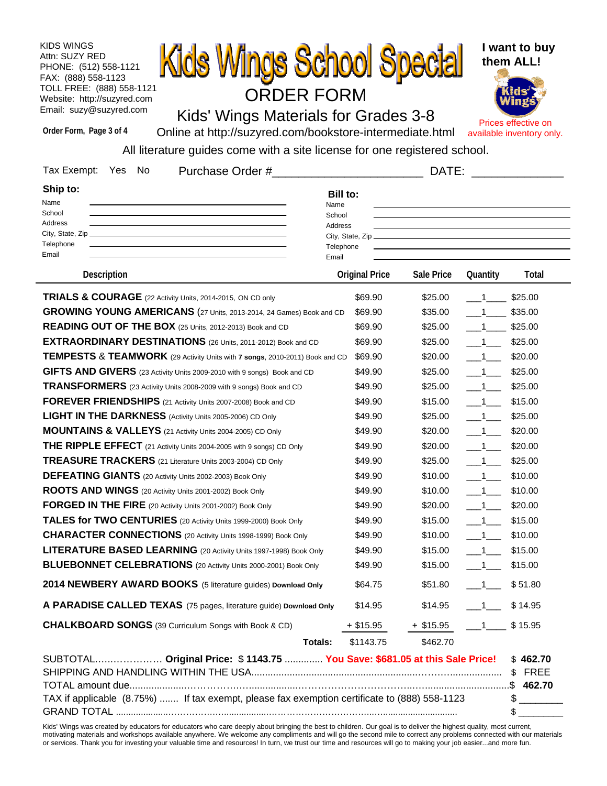KIDS WINGS Attn: SUZY RED PHONE: (512) 558-1121 FAX: (888) 558-1123 TOLL FREE: (888) 558-1121 Website: http://suzyred.com Email: suzy@suzyred.com



Kids' Wings Materials for Grades 3-8

**I want to buy them ALL!**

Prices effective on available inventory only.

**Order Form, Page 3 of 4**

Online at http://suzyred.com/bookstore-intermediate.html

All literature guides come with a site license for one registered school.

| Tax Exempt:<br>No<br>Yes<br>Purchase Order #                                                                                                                               | DATE:                                                              |                          |                            |                                 |  |  |
|----------------------------------------------------------------------------------------------------------------------------------------------------------------------------|--------------------------------------------------------------------|--------------------------|----------------------------|---------------------------------|--|--|
| Ship to:<br>Name<br>School<br>Address<br>Telephone<br>Email                                                                                                                | <b>Bill to:</b><br>Name<br>School<br>Address<br>Telephone<br>Email |                          |                            |                                 |  |  |
| <b>Description</b>                                                                                                                                                         | <b>Original Price</b>                                              | <b>Sale Price</b>        | Quantity                   | Total                           |  |  |
| TRIALS & COURAGE (22 Activity Units, 2014-2015, ON CD only                                                                                                                 | \$69.90                                                            | \$25.00                  | $\overline{\phantom{1}}$   | \$25.00                         |  |  |
| GROWING YOUNG AMERICANS (27 Units, 2013-2014, 24 Games) Book and CD                                                                                                        | \$69.90                                                            | \$35.00                  | $\sim$ 1                   | \$35.00                         |  |  |
| READING OUT OF THE BOX (25 Units, 2012-2013) Book and CD                                                                                                                   | \$69.90                                                            | \$25.00                  | $\sim$ 1                   | \$25.00                         |  |  |
| EXTRAORDINARY DESTINATIONS (26 Units, 2011-2012) Book and CD                                                                                                               | \$69.90                                                            | \$25.00                  | $-1$                       | \$25.00                         |  |  |
| <b>TEMPESTS &amp; TEAMWORK</b> (29 Activity Units with 7 songs, 2010-2011) Book and CD                                                                                     | \$69.90                                                            | \$20.00                  | $-1$                       | \$20.00                         |  |  |
| GIFTS AND GIVERS (23 Activity Units 2009-2010 with 9 songs) Book and CD                                                                                                    | \$49.90                                                            | \$25.00                  | $-1$                       | \$25.00                         |  |  |
| TRANSFORMERS (23 Activity Units 2008-2009 with 9 songs) Book and CD                                                                                                        | \$49.90                                                            | \$25.00                  | $\overline{\phantom{1}}$ 1 | \$25.00                         |  |  |
| FOREVER FRIENDSHIPS (21 Activity Units 2007-2008) Book and CD                                                                                                              | \$49.90                                                            | \$15.00                  | $\_\_1$                    | \$15.00                         |  |  |
| <b>LIGHT IN THE DARKNESS</b> (Activity Units 2005-2006) CD Only                                                                                                            | \$49.90                                                            | \$25.00                  | $-1$                       | \$25.00                         |  |  |
| MOUNTAINS & VALLEYS (21 Activity Units 2004-2005) CD Only                                                                                                                  | \$49.90                                                            | \$20.00                  | $-1$                       | \$20.00                         |  |  |
| THE RIPPLE EFFECT (21 Activity Units 2004-2005 with 9 songs) CD Only                                                                                                       | \$49.90                                                            | \$20.00                  | $-1$                       | \$20.00                         |  |  |
| TREASURE TRACKERS (21 Literature Units 2003-2004) CD Only                                                                                                                  | \$49.90                                                            | \$25.00                  | $\overline{\phantom{1}}$ 1 | \$25.00                         |  |  |
| DEFEATING GIANTS (20 Activity Units 2002-2003) Book Only                                                                                                                   | \$49.90                                                            | \$10.00                  | $-1$                       | \$10.00                         |  |  |
| ROOTS AND WINGS (20 Activity Units 2001-2002) Book Only                                                                                                                    | \$49.90                                                            | \$10.00                  | $-1$                       | \$10.00                         |  |  |
| FORGED IN THE FIRE (20 Activity Units 2001-2002) Book Only                                                                                                                 | \$49.90                                                            | \$20.00                  | $-1$                       | \$20.00                         |  |  |
| TALES for TWO CENTURIES (20 Activity Units 1999-2000) Book Only                                                                                                            | \$49.90                                                            | \$15.00                  | $\overline{\phantom{1}}$ 1 | \$15.00                         |  |  |
| <b>CHARACTER CONNECTIONS</b> (20 Activity Units 1998-1999) Book Only                                                                                                       | \$49.90                                                            | \$10.00                  | $-1$                       | \$10.00                         |  |  |
| LITERATURE BASED LEARNING (20 Activity Units 1997-1998) Book Only                                                                                                          | \$49.90                                                            | \$15.00                  | $-1$                       | \$15.00                         |  |  |
| <b>BLUEBONNET CELEBRATIONS</b> (20 Activity Units 2000-2001) Book Only                                                                                                     | \$49.90                                                            | \$15.00                  | $\_1$                      | \$15.00                         |  |  |
| 2014 NEWBERY AWARD BOOKS (5 literature guides) Download Only                                                                                                               | \$64.75                                                            | \$51.80                  | $\overline{\phantom{1}}$   | \$51.80                         |  |  |
| A PARADISE CALLED TEXAS (75 pages, literature guide) Download Only                                                                                                         | \$14.95                                                            | \$14.95                  | $\blacksquare$ 1           | \$14.95                         |  |  |
| <b>CHALKBOARD SONGS</b> (39 Curriculum Songs with Book & CD)                                                                                                               | + \$15.95                                                          | $+$ \$15.95 $-1$ \$15.95 |                            |                                 |  |  |
| <b>Totals:</b>                                                                                                                                                             | \$1143.75                                                          | \$462.70                 |                            |                                 |  |  |
| SUBTOTAL Original Price: \$1143.75  You Save: \$681.05 at this Sale Price!<br>TAX if applicable (8.75%)  If tax exempt, please fax exemption certificate to (888) 558-1123 |                                                                    |                          |                            | \$462.70<br>$\mathcal{S}$<br>\$ |  |  |
| Kids' Wings was created by educators for educators who care deeply about bringing the best to children. Our goal is to deliver the highest quality, most current.          |                                                                    |                          |                            |                                 |  |  |

Kids' Wings was created by educators for educators who care deeply about bringing the best to children. Our goal is to deliver the highest quality, most current, motivating materials and workshops available anywhere. We welcome any compliments and will go the second mile to correct any problems connected with our materials or services. Thank you for investing your valuable time and resources! In turn, we trust our time and resources will go to making your job easier...and more fun.